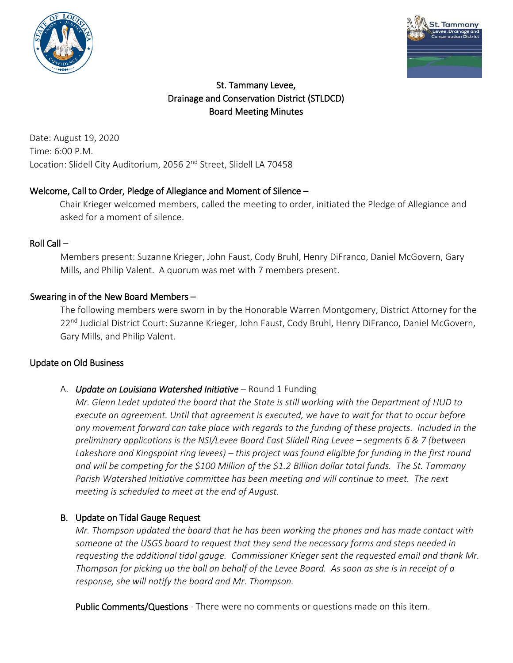



# St. Tammany Levee, Drainage and Conservation District (STLDCD) Board Meeting Minutes

Date: August 19, 2020 Time: 6:00 P.M. Location: Slidell City Auditorium, 2056 2<sup>nd</sup> Street, Slidell LA 70458

## Welcome, Call to Order, Pledge of Allegiance and Moment of Silence –

Chair Krieger welcomed members, called the meeting to order, initiated the Pledge of Allegiance and asked for a moment of silence.

### Roll Call –

Members present: Suzanne Krieger, John Faust, Cody Bruhl, Henry DiFranco, Daniel McGovern, Gary Mills, and Philip Valent. A quorum was met with 7 members present.

### Swearing in of the New Board Members –

The following members were sworn in by the Honorable Warren Montgomery, District Attorney for the 22<sup>nd</sup> Judicial District Court: Suzanne Krieger, John Faust, Cody Bruhl, Henry DiFranco, Daniel McGovern, Gary Mills, and Philip Valent.

### Update on Old Business

### A. *Update on Louisiana Watershed Initiative* – Round 1 Funding

*Mr. Glenn Ledet updated the board that the State is still working with the Department of HUD to execute an agreement. Until that agreement is executed, we have to wait for that to occur before any movement forward can take place with regards to the funding of these projects. Included in the preliminary applications is the NSI/Levee Board East Slidell Ring Levee – segments 6 & 7 (between Lakeshore and Kingspoint ring levees) – this project was found eligible for funding in the first round and will be competing for the \$100 Million of the \$1.2 Billion dollar total funds. The St. Tammany Parish Watershed Initiative committee has been meeting and will continue to meet. The next meeting is scheduled to meet at the end of August.*

### B. Update on Tidal Gauge Request

*Mr. Thompson updated the board that he has been working the phones and has made contact with someone at the USGS board to request that they send the necessary forms and steps needed in requesting the additional tidal gauge. Commissioner Krieger sent the requested email and thank Mr. Thompson for picking up the ball on behalf of the Levee Board. As soon as she is in receipt of a response, she will notify the board and Mr. Thompson.*

Public Comments/Questions - There were no comments or questions made on this item.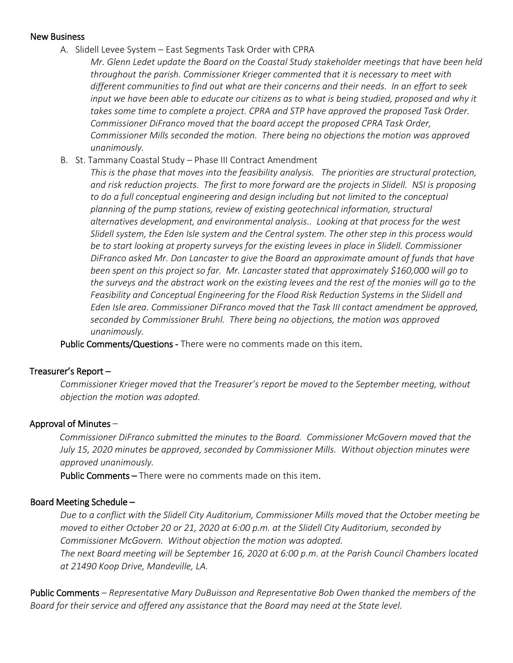#### New Business

A. Slidell Levee System – East Segments Task Order with CPRA

*Mr. Glenn Ledet update the Board on the Coastal Study stakeholder meetings that have been held throughout the parish. Commissioner Krieger commented that it is necessary to meet with different communities to find out what are their concerns and their needs. In an effort to seek*  input we have been able to educate our citizens as to what is being studied, proposed and why it *takes some time to complete a project. CPRA and STP have approved the proposed Task Order. Commissioner DiFranco moved that the board accept the proposed CPRA Task Order, Commissioner Mills seconded the motion. There being no objections the motion was approved unanimously.* 

B. St. Tammany Coastal Study – Phase III Contract Amendment

*This is the phase that moves into the feasibility analysis. The priorities are structural protection, and risk reduction projects. The first to more forward are the projects in Slidell. NSI is proposing to do a full conceptual engineering and design including but not limited to the conceptual planning of the pump stations, review of existing geotechnical information, structural alternatives development, and environmental analysis.. Looking at that process for the west Slidell system, the Eden Isle system and the Central system. The other step in this process would be to start looking at property surveys for the existing levees in place in Slidell. Commissioner DiFranco asked Mr. Don Lancaster to give the Board an approximate amount of funds that have been spent on this project so far. Mr. Lancaster stated that approximately \$160,000 will go to the surveys and the abstract work on the existing levees and the rest of the monies will go to the Feasibility and Conceptual Engineering for the Flood Risk Reduction Systems in the Slidell and Eden Isle area. Commissioner DiFranco moved that the Task III contact amendment be approved, seconded by Commissioner Bruhl. There being no objections, the motion was approved unanimously.*

Public Comments/Questions - There were no comments made on this item.

#### Treasurer's Report –

*Commissioner Krieger moved that the Treasurer's report be moved to the September meeting, without objection the motion was adopted.*

#### Approval of Minutes –

*Commissioner DiFranco submitted the minutes to the Board. Commissioner McGovern moved that the July 15, 2020 minutes be approved, seconded by Commissioner Mills. Without objection minutes were approved unanimously.* 

Public Comments – There were no comments made on this item.

### Board Meeting Schedule –

*Due to a conflict with the Slidell City Auditorium, Commissioner Mills moved that the October meeting be moved to either October 20 or 21, 2020 at 6:00 p.m. at the Slidell City Auditorium, seconded by Commissioner McGovern. Without objection the motion was adopted. The next Board meeting will be September 16, 2020 at 6:00 p.m. at the Parish Council Chambers located at 21490 Koop Drive, Mandeville, LA.*

Public Comments – *Representative Mary DuBuisson and Representative Bob Owen thanked the members of the Board for their service and offered any assistance that the Board may need at the State level.*